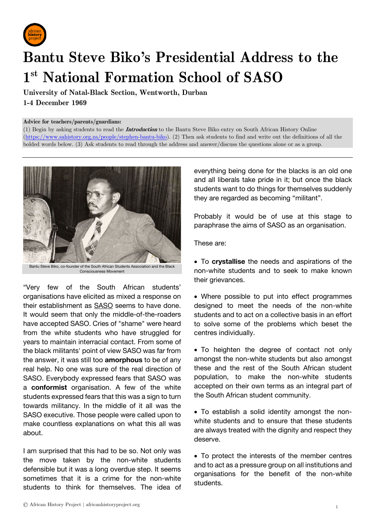

# **Bantu Steve Biko's Presidential Address to the 1st National Formation School of SASO**

**University of Natal-Black Section, Wentworth, Durban 1-4 December 1969** 

#### **Advice for teachers/parents/guardians:**

(1) Begin by asking students to read the **Introduction** to the Bantu Steve Biko entry on South African History Online (https://www.sahistory.org.za/people/stephen-bantu-biko). (2) Then ask students to find and write out the definitions of all the bolded words below. (3) Ask students to read through the address and answer/discuss the questions alone or as a group.



Consciousness Movement

"Very few of the South African students' organisations have elicited as mixed a response on their establishment as SASO seems to have done. It would seem that only the middle-of-the-roaders have accepted SASO. Cries of "shame" were heard from the white students who have struggled for years to maintain interracial contact. From some of the black militants' point of view SASO was far from the answer, it was still too **amorphous** to be of any real help. No one was sure of the real direction of SASO. Everybody expressed fears that SASO was a **conformist** organisation. A few of the white students expressed fears that this was a sign to turn towards militancy. In the middle of it all was the SASO executive. Those people were called upon to make countless explanations on what this all was about.

I am surprised that this had to be so. Not only was the move taken by the non-white students defensible but it was a long overdue step. It seems sometimes that it is a crime for the non-white students to think for themselves. The idea of

everything being done for the blacks is an old one and all liberals take pride in it; but once the black students want to do things for themselves suddenly they are regarded as becoming "militant".

Probably it would be of use at this stage to paraphrase the aims of SASO as an organisation.

These are:

• To **crystallise** the needs and aspirations of the non-white students and to seek to make known their grievances.

• Where possible to put into effect programmes designed to meet the needs of the non-white students and to act on a collective basis in an effort to solve some of the problems which beset the centres individually.

• To heighten the degree of contact not only amongst the non-white students but also amongst these and the rest of the South African student population, to make the non-white students accepted on their own terms as an integral part of the South African student community.

• To establish a solid identity amongst the nonwhite students and to ensure that these students are always treated with the dignity and respect they deserve.

• To protect the interests of the member centres and to act as a pressure group on all institutions and organisations for the benefit of the non-white students.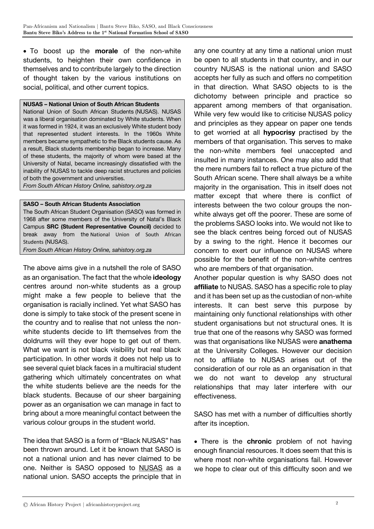• To boost up the **morale** of the non-white students, to heighten their own confidence in themselves and to contribute largely to the direction of thought taken by the various institutions on social, political, and other current topics.

### **NUSAS – National Union of South African Students**

National Union of South African Students (NUSAS). NUSAS was a liberal organisation dominated by White students. When it was formed in 1924, it was an exclusively White student body that represented student interests. In the 1960s White members became sympathetic to the Black students cause. As a result, Black students membership began to increase. Many of these students, the majority of whom were based at the University of Natal, became increasingly dissatisfied with the inability of NUSAS to tackle deep racist structures and policies of both the government and universities.

*From South African History Online, sahistory.org.za*

## **SASO – South African Students Association**

The South African Student Organisation (SASO) was formed in 1968 after some members of the University of Natal's Black Campus **SRC (Student Representative Council)** decided to break away from the National Union of South African Students (NUSAS).

*From South African History Online, sahistory.org.za*

The above aims give in a nutshell the role of SASO as an organisation. The fact that the whole **ideology** centres around non-white students as a group might make a few people to believe that the organisation is racially inclined. Yet what SASO has done is simply to take stock of the present scene in the country and to realise that not unless the nonwhite students decide to lift themselves from the doldrums will they ever hope to get out of them. What we want is not black visibility but real black participation. In other words it does not help us to see several quiet black faces in a multiracial student gathering which ultimately concentrates on what the white students believe are the needs for the black students. Because of our sheer bargaining power as an organisation we can manage in fact to bring about a more meaningful contact between the various colour groups in the student world.

The idea that SASO is a form of "Black NUSAS" has been thrown around. Let it be known that SASO is not a national union and has never claimed to be one. Neither is SASO opposed to NUSAS as a national union. SASO accepts the principle that in

any one country at any time a national union must be open to all students in that country, and in our country NUSAS is the national union and SASO accepts her fully as such and offers no competition in that direction. What SASO objects to is the dichotomy between principle and practice so apparent among members of that organisation. While very few would like to criticise NUSAS policy and principles as they appear on paper one tends to get worried at all **hypocrisy** practised by the members of that organisation. This serves to make the non-white members feel unaccepted and insulted in many instances. One may also add that the mere numbers fail to reflect a true picture of the South African scene. There shall always be a white majority in the organisation. This in itself does not matter except that where there is conflict of interests between the two colour groups the nonwhite always get off the poorer. These are some of the problems SASO looks into. We would not like to see the black centres being forced out of NUSAS by a swing to the right. Hence it becomes our concern to exert our influence on NUSAS where possible for the benefit of the non-white centres who are members of that organisation.

Another popular question is why SASO does not **affiliate** to NUSAS. SASO has a specific role to play and it has been set up as the custodian of non-white interests. It can best serve this purpose by maintaining only functional relationships with other student organisations but not structural ones. It is true that one of the reasons why SASO was formed was that organisations like NUSAS were **anathema** at the University Colleges. However our decision not to affiliate to NUSAS arises out of the consideration of our role as an organisation in that we do not want to develop any structural relationships that may later interfere with our effectiveness.

SASO has met with a number of difficulties shortly after its inception.

• There is the **chronic** problem of not having enough financial resources. It does seem that this is where most non-white organisations fail. However we hope to clear out of this difficulty soon and we